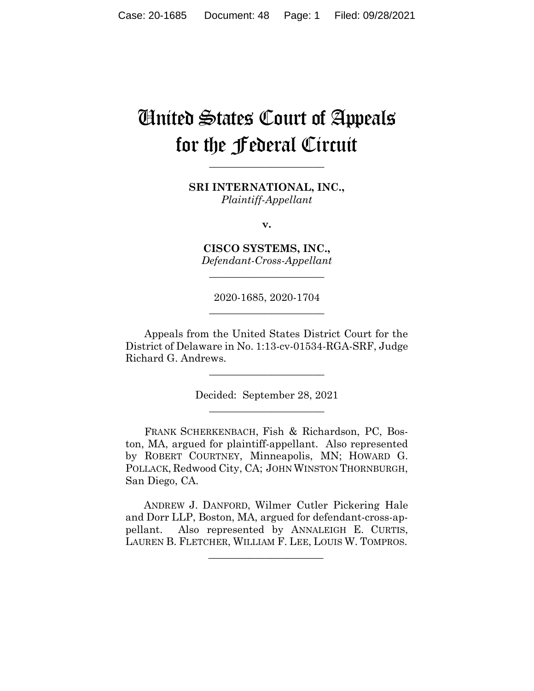# United States Court of Appeals for the Federal Circuit

**\_\_\_\_\_\_\_\_\_\_\_\_\_\_\_\_\_\_\_\_\_\_** 

**SRI INTERNATIONAL, INC.,** *Plaintiff-Appellant*

**v.**

**CISCO SYSTEMS, INC.,** *Defendant-Cross-Appellant*

**\_\_\_\_\_\_\_\_\_\_\_\_\_\_\_\_\_\_\_\_\_\_** 

2020-1685, 2020-1704 **\_\_\_\_\_\_\_\_\_\_\_\_\_\_\_\_\_\_\_\_\_\_** 

Appeals from the United States District Court for the District of Delaware in No. 1:13-cv-01534-RGA-SRF, Judge Richard G. Andrews.

> Decided: September 28, 2021  $\overline{\phantom{a}}$  , where  $\overline{\phantom{a}}$  , where  $\overline{\phantom{a}}$  , where  $\overline{\phantom{a}}$

 $\overline{\phantom{a}}$  , where  $\overline{\phantom{a}}$  , where  $\overline{\phantom{a}}$  , where  $\overline{\phantom{a}}$ 

FRANK SCHERKENBACH, Fish & Richardson, PC, Boston, MA, argued for plaintiff-appellant. Also represented by ROBERT COURTNEY, Minneapolis, MN; HOWARD G. POLLACK, Redwood City, CA; JOHN WINSTON THORNBURGH, San Diego, CA.

 ANDREW J. DANFORD, Wilmer Cutler Pickering Hale and Dorr LLP, Boston, MA, argued for defendant-cross-appellant. Also represented by ANNALEIGH E. CURTIS, LAUREN B. FLETCHER, WILLIAM F. LEE, LOUIS W. TOMPROS.

 $\mathcal{L}_\text{max}$  and  $\mathcal{L}_\text{max}$  and  $\mathcal{L}_\text{max}$  and  $\mathcal{L}_\text{max}$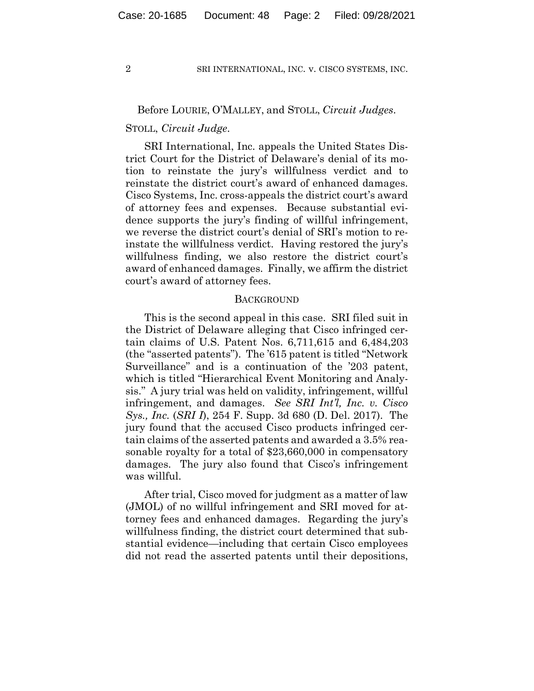# Before LOURIE, O'MALLEY, and STOLL, *Circuit Judges*.

## STOLL, *Circuit Judge*.

SRI International, Inc. appeals the United States District Court for the District of Delaware's denial of its motion to reinstate the jury's willfulness verdict and to reinstate the district court's award of enhanced damages. Cisco Systems, Inc. cross-appeals the district court's award of attorney fees and expenses. Because substantial evidence supports the jury's finding of willful infringement, we reverse the district court's denial of SRI's motion to reinstate the willfulness verdict. Having restored the jury's willfulness finding, we also restore the district court's award of enhanced damages. Finally, we affirm the district court's award of attorney fees.

#### BACKGROUND

This is the second appeal in this case. SRI filed suit in the District of Delaware alleging that Cisco infringed certain claims of U.S. Patent Nos. 6,711,615 and 6,484,203 (the "asserted patents"). The '615 patent is titled "Network Surveillance" and is a continuation of the '203 patent, which is titled "Hierarchical Event Monitoring and Analysis." A jury trial was held on validity, infringement, willful infringement, and damages. *See SRI Int'l, Inc. v. Cisco Sys., Inc.* (*SRI I*), 254 F. Supp. 3d 680 (D. Del. 2017). The jury found that the accused Cisco products infringed certain claims of the asserted patents and awarded a 3.5% reasonable royalty for a total of \$23,660,000 in compensatory damages. The jury also found that Cisco's infringement was willful.

After trial, Cisco moved for judgment as a matter of law (JMOL) of no willful infringement and SRI moved for attorney fees and enhanced damages. Regarding the jury's willfulness finding, the district court determined that substantial evidence—including that certain Cisco employees did not read the asserted patents until their depositions,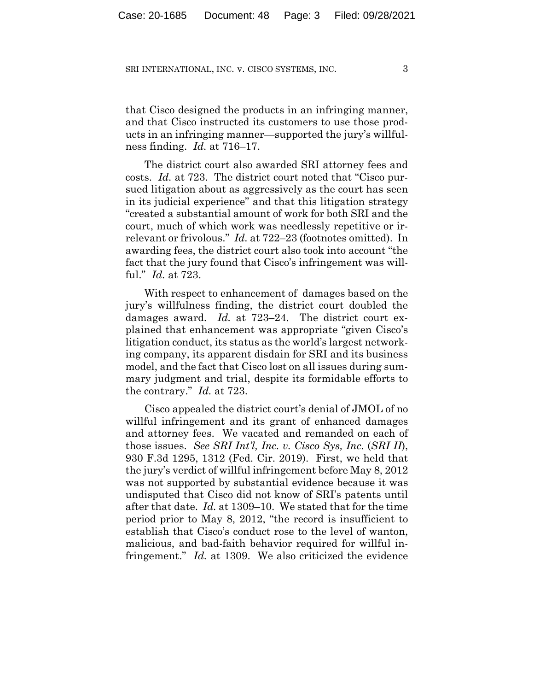that Cisco designed the products in an infringing manner, and that Cisco instructed its customers to use those products in an infringing manner—supported the jury's willfulness finding. *Id.* at 716–17.

The district court also awarded SRI attorney fees and costs. *Id.* at 723. The district court noted that "Cisco pursued litigation about as aggressively as the court has seen in its judicial experience" and that this litigation strategy "created a substantial amount of work for both SRI and the court, much of which work was needlessly repetitive or irrelevant or frivolous." *Id.* at 722–23 (footnotes omitted). In awarding fees, the district court also took into account "the fact that the jury found that Cisco's infringement was willful." *Id.* at 723.

With respect to enhancement of damages based on the jury's willfulness finding, the district court doubled the damages award. *Id.* at 723–24. The district court explained that enhancement was appropriate "given Cisco's litigation conduct, its status as the world's largest networking company, its apparent disdain for SRI and its business model, and the fact that Cisco lost on all issues during summary judgment and trial, despite its formidable efforts to the contrary." *Id.* at 723.

Cisco appealed the district court's denial of JMOL of no willful infringement and its grant of enhanced damages and attorney fees. We vacated and remanded on each of those issues. *See SRI Int'l, Inc. v. Cisco Sys, Inc.* (*SRI II*), 930 F.3d 1295, 1312 (Fed. Cir. 2019). First, we held that the jury's verdict of willful infringement before May 8, 2012 was not supported by substantial evidence because it was undisputed that Cisco did not know of SRI's patents until after that date. *Id.* at 1309–10. We stated that for the time period prior to May 8, 2012, "the record is insufficient to establish that Cisco's conduct rose to the level of wanton, malicious, and bad-faith behavior required for willful infringement." *Id.* at 1309. We also criticized the evidence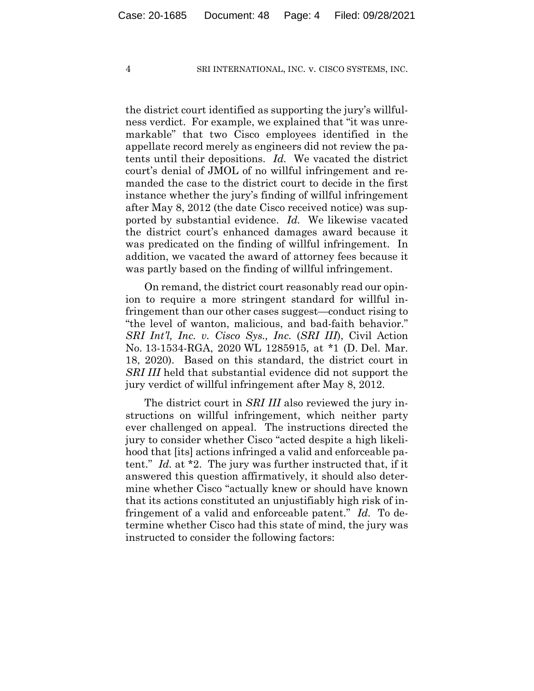the district court identified as supporting the jury's willfulness verdict. For example, we explained that "it was unremarkable" that two Cisco employees identified in the appellate record merely as engineers did not review the patents until their depositions. *Id.* We vacated the district court's denial of JMOL of no willful infringement and remanded the case to the district court to decide in the first instance whether the jury's finding of willful infringement after May 8, 2012 (the date Cisco received notice) was supported by substantial evidence. *Id.* We likewise vacated the district court's enhanced damages award because it was predicated on the finding of willful infringement. In addition, we vacated the award of attorney fees because it was partly based on the finding of willful infringement.

On remand, the district court reasonably read our opinion to require a more stringent standard for willful infringement than our other cases suggest—conduct rising to "the level of wanton, malicious, and bad-faith behavior." *SRI Int'l, Inc. v. Cisco Sys., Inc.* (*SRI III*), Civil Action No. 13-1534-RGA, 2020 WL 1285915, at \*1 (D. Del. Mar. 18, 2020). Based on this standard, the district court in *SRI III* held that substantial evidence did not support the jury verdict of willful infringement after May 8, 2012.

The district court in *SRI III* also reviewed the jury instructions on willful infringement, which neither party ever challenged on appeal. The instructions directed the jury to consider whether Cisco "acted despite a high likelihood that [its] actions infringed a valid and enforceable patent." *Id.* at \*2. The jury was further instructed that, if it answered this question affirmatively, it should also determine whether Cisco "actually knew or should have known that its actions constituted an unjustifiably high risk of infringement of a valid and enforceable patent." *Id.* To determine whether Cisco had this state of mind, the jury was instructed to consider the following factors: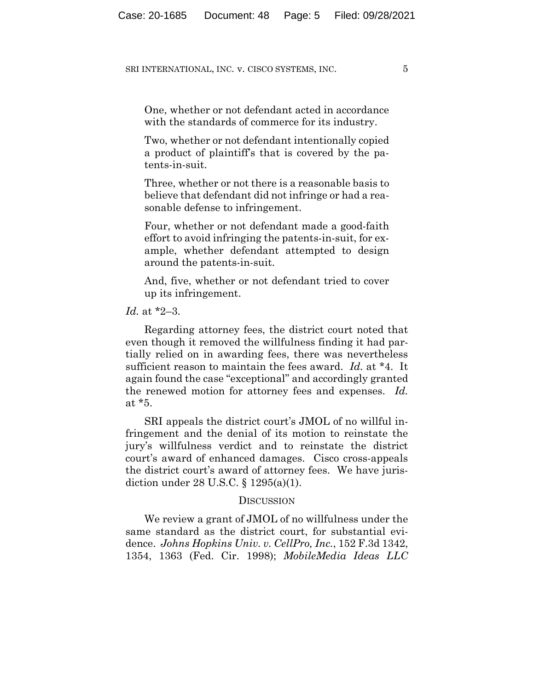One, whether or not defendant acted in accordance with the standards of commerce for its industry.

Two, whether or not defendant intentionally copied a product of plaintiff's that is covered by the patents-in-suit.

Three, whether or not there is a reasonable basis to believe that defendant did not infringe or had a reasonable defense to infringement.

Four, whether or not defendant made a good-faith effort to avoid infringing the patents-in-suit, for example, whether defendant attempted to design around the patents-in-suit.

And, five, whether or not defendant tried to cover up its infringement.

# *Id.* at \*2–3.

Regarding attorney fees, the district court noted that even though it removed the willfulness finding it had partially relied on in awarding fees, there was nevertheless sufficient reason to maintain the fees award. *Id.* at \*4. It again found the case "exceptional" and accordingly granted the renewed motion for attorney fees and expenses. *Id.* at \*5.

SRI appeals the district court's JMOL of no willful infringement and the denial of its motion to reinstate the jury's willfulness verdict and to reinstate the district court's award of enhanced damages. Cisco cross-appeals the district court's award of attorney fees. We have jurisdiction under 28 U.S.C. § 1295(a)(1).

#### **DISCUSSION**

We review a grant of JMOL of no willfulness under the same standard as the district court, for substantial evidence. *Johns Hopkins Univ. v. CellPro, Inc.*, 152 F.3d 1342, 1354, 1363 (Fed. Cir. 1998); *MobileMedia Ideas LLC*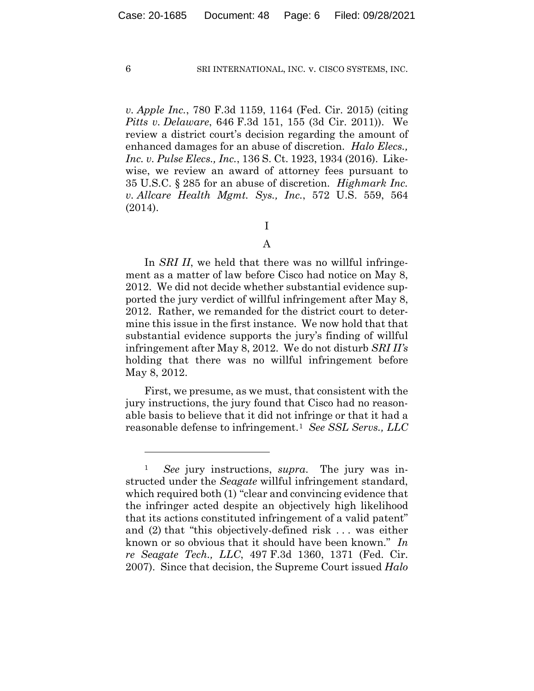*v. Apple Inc.*, 780 F.3d 1159, 1164 (Fed. Cir. 2015) (citing *Pitts v. Delaware*, 646 F.3d 151, 155 (3d Cir. 2011)). We review a district court's decision regarding the amount of enhanced damages for an abuse of discretion. *Halo Elecs., Inc. v. Pulse Elecs., Inc.*, 136 S. Ct. 1923, 1934 (2016). Likewise, we review an award of attorney fees pursuant to 35 U.S.C. § 285 for an abuse of discretion. *Highmark Inc. v. Allcare Health Mgmt. Sys., Inc.*, 572 U.S. 559, 564 (2014).

I

# A

In *SRI II*, we held that there was no willful infringement as a matter of law before Cisco had notice on May 8, 2012. We did not decide whether substantial evidence supported the jury verdict of willful infringement after May 8, 2012. Rather, we remanded for the district court to determine this issue in the first instance. We now hold that that substantial evidence supports the jury's finding of willful infringement after May 8, 2012. We do not disturb *SRI II's* holding that there was no willful infringement before May 8, 2012.

First, we presume, as we must, that consistent with the jury instructions, the jury found that Cisco had no reasonable basis to believe that it did not infringe or that it had a reasonable defense to infringement.1 *See SSL Servs., LLC* 

<sup>1</sup> *See* jury instructions, *supra*. The jury was instructed under the *Seagate* willful infringement standard, which required both (1) "clear and convincing evidence that the infringer acted despite an objectively high likelihood that its actions constituted infringement of a valid patent" and (2) that "this objectively-defined risk . . . was either known or so obvious that it should have been known." *In re Seagate Tech., LLC*, 497 F.3d 1360, 1371 (Fed. Cir. 2007). Since that decision, the Supreme Court issued *Halo*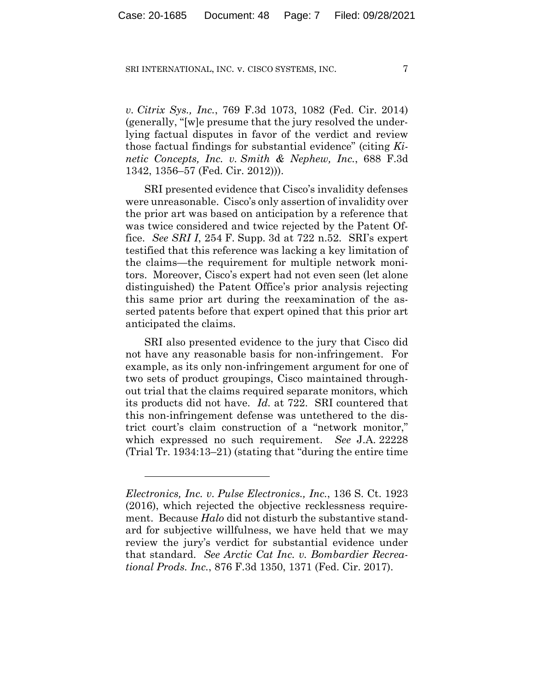*v. Citrix Sys., Inc.*, 769 F.3d 1073, 1082 (Fed. Cir. 2014) (generally, "[w]e presume that the jury resolved the underlying factual disputes in favor of the verdict and review those factual findings for substantial evidence" (citing *Kinetic Concepts, Inc. v. Smith & Nephew, Inc.*, 688 F.3d 1342, 1356–57 (Fed. Cir. 2012))).

SRI presented evidence that Cisco's invalidity defenses were unreasonable. Cisco's only assertion of invalidity over the prior art was based on anticipation by a reference that was twice considered and twice rejected by the Patent Office. *See SRI I*, 254 F. Supp. 3d at 722 n.52. SRI's expert testified that this reference was lacking a key limitation of the claims—the requirement for multiple network monitors. Moreover, Cisco's expert had not even seen (let alone distinguished) the Patent Office's prior analysis rejecting this same prior art during the reexamination of the asserted patents before that expert opined that this prior art anticipated the claims.

SRI also presented evidence to the jury that Cisco did not have any reasonable basis for non-infringement. For example, as its only non-infringement argument for one of two sets of product groupings, Cisco maintained throughout trial that the claims required separate monitors, which its products did not have. *Id.* at 722. SRI countered that this non-infringement defense was untethered to the district court's claim construction of a "network monitor," which expressed no such requirement. *See* J.A. 22228 (Trial Tr. 1934:13–21) (stating that "during the entire time

*Electronics, Inc. v. Pulse Electronics., Inc.*, 136 S. Ct. 1923 (2016), which rejected the objective recklessness requirement. Because *Halo* did not disturb the substantive standard for subjective willfulness, we have held that we may review the jury's verdict for substantial evidence under that standard. *See Arctic Cat Inc. v. Bombardier Recreational Prods. Inc.*, 876 F.3d 1350, 1371 (Fed. Cir. 2017).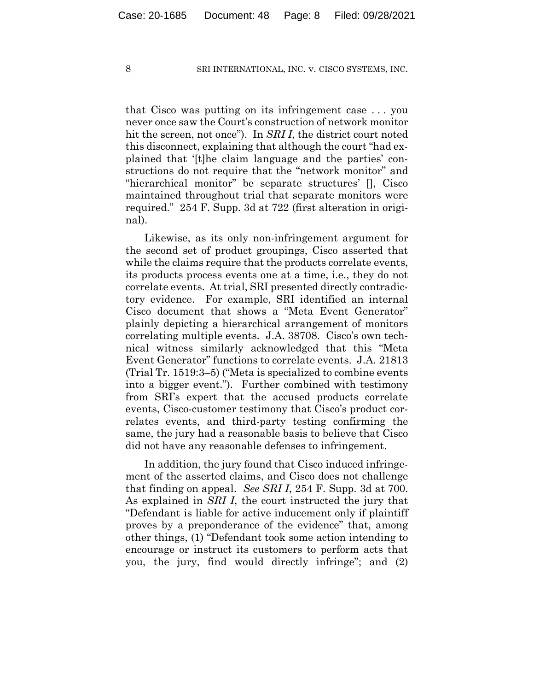that Cisco was putting on its infringement case . . . you never once saw the Court's construction of network monitor hit the screen, not once"). In *SRI I*, the district court noted this disconnect, explaining that although the court "had explained that '[t]he claim language and the parties' constructions do not require that the "network monitor" and "hierarchical monitor" be separate structures' [], Cisco maintained throughout trial that separate monitors were required." 254 F. Supp. 3d at 722 (first alteration in original).

Likewise, as its only non-infringement argument for the second set of product groupings, Cisco asserted that while the claims require that the products correlate events, its products process events one at a time, i.e., they do not correlate events. At trial, SRI presented directly contradictory evidence. For example, SRI identified an internal Cisco document that shows a "Meta Event Generator" plainly depicting a hierarchical arrangement of monitors correlating multiple events. J.A. 38708. Cisco's own technical witness similarly acknowledged that this "Meta Event Generator" functions to correlate events. J.A. 21813 (Trial Tr. 1519:3–5) ("Meta is specialized to combine events into a bigger event."). Further combined with testimony from SRI's expert that the accused products correlate events, Cisco-customer testimony that Cisco's product correlates events, and third-party testing confirming the same, the jury had a reasonable basis to believe that Cisco did not have any reasonable defenses to infringement.

In addition, the jury found that Cisco induced infringement of the asserted claims, and Cisco does not challenge that finding on appeal. *See SRI I*, 254 F. Supp. 3d at 700. As explained in *SRI I*, the court instructed the jury that "Defendant is liable for active inducement only if plaintiff proves by a preponderance of the evidence" that, among other things, (1) "Defendant took some action intending to encourage or instruct its customers to perform acts that you, the jury, find would directly infringe"; and (2)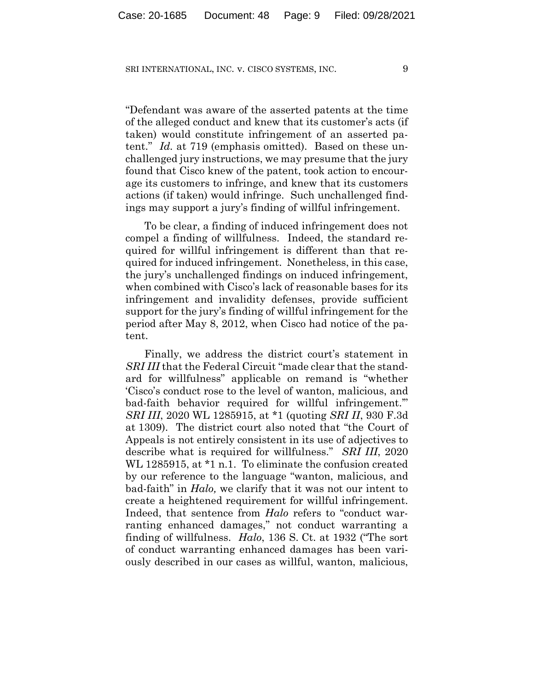"Defendant was aware of the asserted patents at the time of the alleged conduct and knew that its customer's acts (if taken) would constitute infringement of an asserted patent." *Id.* at 719 (emphasis omitted). Based on these unchallenged jury instructions, we may presume that the jury found that Cisco knew of the patent, took action to encourage its customers to infringe, and knew that its customers actions (if taken) would infringe. Such unchallenged findings may support a jury's finding of willful infringement.

To be clear, a finding of induced infringement does not compel a finding of willfulness. Indeed, the standard required for willful infringement is different than that required for induced infringement. Nonetheless, in this case, the jury's unchallenged findings on induced infringement, when combined with Cisco's lack of reasonable bases for its infringement and invalidity defenses, provide sufficient support for the jury's finding of willful infringement for the period after May 8, 2012, when Cisco had notice of the patent.

Finally, we address the district court's statement in *SRI III* that the Federal Circuit "made clear that the standard for willfulness" applicable on remand is "whether 'Cisco's conduct rose to the level of wanton, malicious, and bad-faith behavior required for willful infringement.'" *SRI III*, 2020 WL 1285915, at \*1 (quoting *SRI II*, 930 F.3d at 1309). The district court also noted that "the Court of Appeals is not entirely consistent in its use of adjectives to describe what is required for willfulness." *SRI III*, 2020 WL 1285915, at  $*1$  n.1. To eliminate the confusion created by our reference to the language "wanton, malicious, and bad-faith" in *Halo,* we clarify that it was not our intent to create a heightened requirement for willful infringement. Indeed, that sentence from *Halo* refers to "conduct warranting enhanced damages," not conduct warranting a finding of willfulness. *Halo*, 136 S. Ct. at 1932 ("The sort of conduct warranting enhanced damages has been variously described in our cases as willful, wanton, malicious,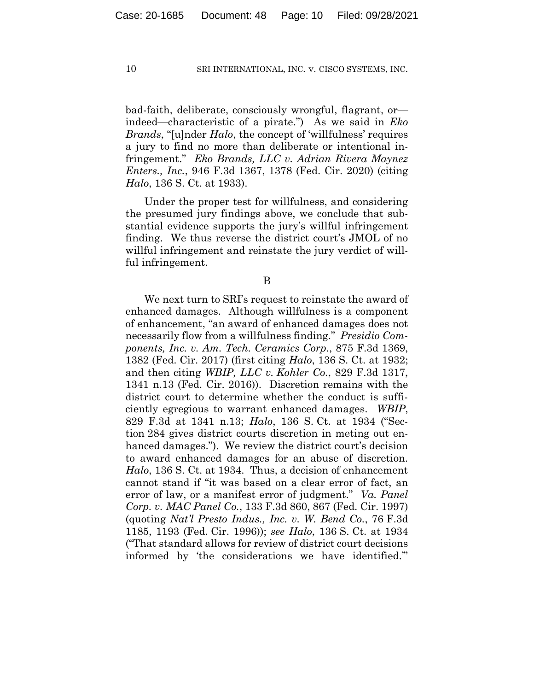bad-faith, deliberate, consciously wrongful, flagrant, or indeed—characteristic of a pirate.") As we said in *Eko Brands*, "[u]nder *Halo*, the concept of 'willfulness' requires a jury to find no more than deliberate or intentional infringement." *Eko Brands, LLC v. Adrian Rivera Maynez Enters., Inc.*, 946 F.3d 1367, 1378 (Fed. Cir. 2020) (citing *Halo*, 136 S. Ct. at 1933).

Under the proper test for willfulness, and considering the presumed jury findings above, we conclude that substantial evidence supports the jury's willful infringement finding. We thus reverse the district court's JMOL of no willful infringement and reinstate the jury verdict of willful infringement.

B

We next turn to SRI's request to reinstate the award of enhanced damages. Although willfulness is a component of enhancement, "an award of enhanced damages does not necessarily flow from a willfulness finding." *Presidio Components, Inc. v. Am. Tech. Ceramics Corp.*, 875 F.3d 1369, 1382 (Fed. Cir. 2017) (first citing *Halo*, 136 S. Ct. at 1932; and then citing *WBIP, LLC v. Kohler Co.*, 829 F.3d 1317, 1341 n.13 (Fed. Cir. 2016)). Discretion remains with the district court to determine whether the conduct is sufficiently egregious to warrant enhanced damages. *WBIP*, 829 F.3d at 1341 n.13; *Halo*, 136 S. Ct. at 1934 ("Section 284 gives district courts discretion in meting out enhanced damages."). We review the district court's decision to award enhanced damages for an abuse of discretion. *Halo*, 136 S. Ct. at 1934. Thus, a decision of enhancement cannot stand if "it was based on a clear error of fact, an error of law, or a manifest error of judgment." *Va. Panel Corp. v. MAC Panel Co.*, 133 F.3d 860, 867 (Fed. Cir. 1997) (quoting *Nat'l Presto Indus., Inc. v. W. Bend Co.*, 76 F.3d 1185, 1193 (Fed. Cir. 1996)); *see Halo*, 136 S. Ct. at 1934 ("That standard allows for review of district court decisions informed by 'the considerations we have identified.'"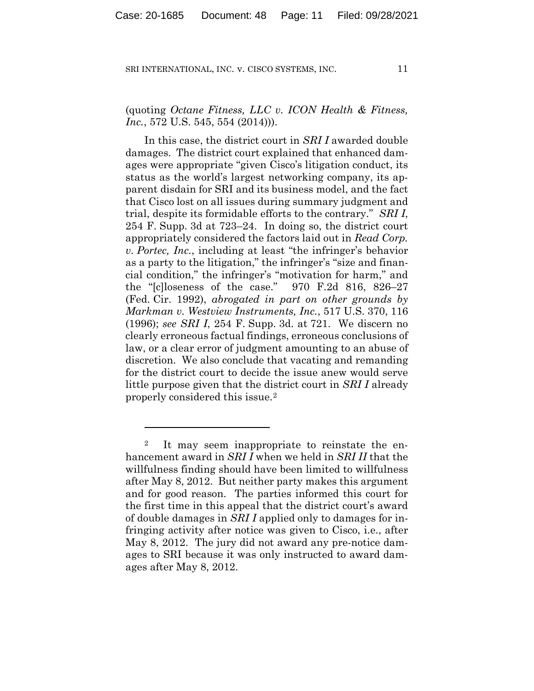(quoting *Octane Fitness, LLC v. ICON Health & Fitness, Inc.*, 572 U.S. 545, 554 (2014)).

In this case, the district court in *SRI I* awarded double damages. The district court explained that enhanced damages were appropriate "given Cisco's litigation conduct, its status as the world's largest networking company, its apparent disdain for SRI and its business model, and the fact that Cisco lost on all issues during summary judgment and trial, despite its formidable efforts to the contrary." *SRI I*, 254 F. Supp. 3d at 723–24. In doing so, the district court appropriately considered the factors laid out in *Read Corp. v. Portec, Inc.*, including at least "the infringer's behavior as a party to the litigation," the infringer's "size and financial condition," the infringer's "motivation for harm," and the "[c]loseness of the case." 970 F.2d 816, 826–27 (Fed. Cir. 1992), *abrogated in part on other grounds by Markman v. Westview Instruments, Inc.*, 517 U.S. 370, 116 (1996); *see SRI I*, 254 F. Supp. 3d. at 721. We discern no clearly erroneous factual findings, erroneous conclusions of law, or a clear error of judgment amounting to an abuse of discretion. We also conclude that vacating and remanding for the district court to decide the issue anew would serve little purpose given that the district court in *SRI I* already properly considered this issue.2

<sup>&</sup>lt;sup>2</sup> It may seem inappropriate to reinstate the enhancement award in *SRI I* when we held in *SRI II* that the willfulness finding should have been limited to willfulness after May 8, 2012. But neither party makes this argument and for good reason. The parties informed this court for the first time in this appeal that the district court's award of double damages in *SRI I* applied only to damages for infringing activity after notice was given to Cisco, i.e., after May 8, 2012. The jury did not award any pre-notice damages to SRI because it was only instructed to award damages after May 8, 2012.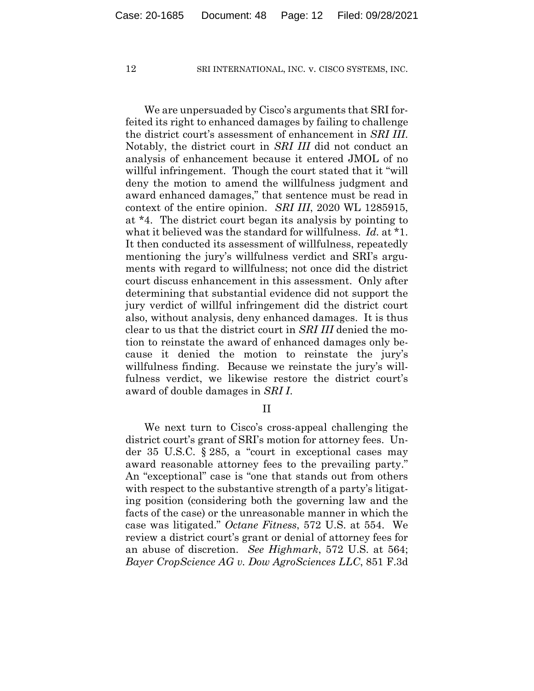We are unpersuaded by Cisco's arguments that SRI forfeited its right to enhanced damages by failing to challenge the district court's assessment of enhancement in *SRI III*. Notably, the district court in *SRI III* did not conduct an analysis of enhancement because it entered JMOL of no willful infringement. Though the court stated that it "will deny the motion to amend the willfulness judgment and award enhanced damages," that sentence must be read in context of the entire opinion. *SRI III*, 2020 WL 1285915, at \*4. The district court began its analysis by pointing to what it believed was the standard for willfulness. *Id.* at \*1. It then conducted its assessment of willfulness, repeatedly mentioning the jury's willfulness verdict and SRI's arguments with regard to willfulness; not once did the district court discuss enhancement in this assessment. Only after determining that substantial evidence did not support the jury verdict of willful infringement did the district court also, without analysis, deny enhanced damages. It is thus clear to us that the district court in *SRI III* denied the motion to reinstate the award of enhanced damages only because it denied the motion to reinstate the jury's willfulness finding. Because we reinstate the jury's willfulness verdict, we likewise restore the district court's award of double damages in *SRI I*.

II

We next turn to Cisco's cross-appeal challenging the district court's grant of SRI's motion for attorney fees. Under 35 U.S.C. § 285, a "court in exceptional cases may award reasonable attorney fees to the prevailing party." An "exceptional" case is "one that stands out from others with respect to the substantive strength of a party's litigating position (considering both the governing law and the facts of the case) or the unreasonable manner in which the case was litigated." *Octane Fitness*, 572 U.S. at 554. We review a district court's grant or denial of attorney fees for an abuse of discretion. *See Highmark*, 572 U.S. at 564; *Bayer CropScience AG v. Dow AgroSciences LLC*, 851 F.3d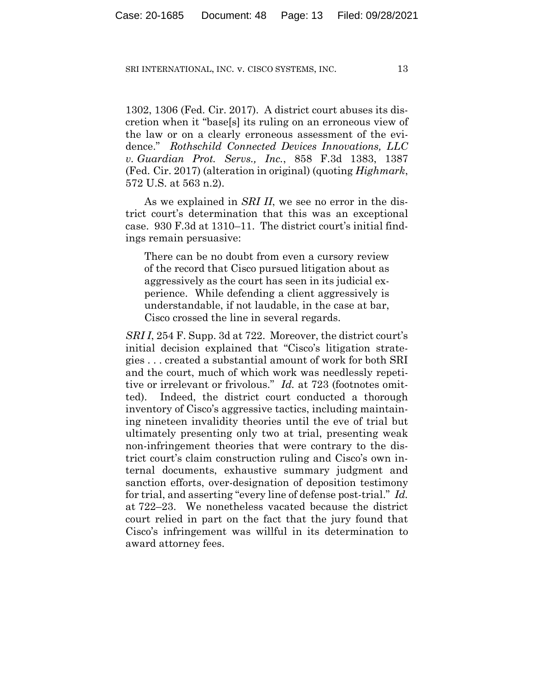1302, 1306 (Fed. Cir. 2017). A district court abuses its discretion when it "base[s] its ruling on an erroneous view of the law or on a clearly erroneous assessment of the evidence." *Rothschild Connected Devices Innovations, LLC v. Guardian Prot. Servs., Inc.*, 858 F.3d 1383, 1387 (Fed. Cir. 2017) (alteration in original) (quoting *Highmark*, 572 U.S. at 563 n.2).

As we explained in *SRI II*, we see no error in the district court's determination that this was an exceptional case. 930 F.3d at 1310–11. The district court's initial findings remain persuasive:

There can be no doubt from even a cursory review of the record that Cisco pursued litigation about as aggressively as the court has seen in its judicial experience. While defending a client aggressively is understandable, if not laudable, in the case at bar, Cisco crossed the line in several regards.

*SRI I*, 254 F. Supp. 3d at 722. Moreover, the district court's initial decision explained that "Cisco's litigation strategies . . . created a substantial amount of work for both SRI and the court, much of which work was needlessly repetitive or irrelevant or frivolous." *Id.* at 723 (footnotes omitted). Indeed, the district court conducted a thorough inventory of Cisco's aggressive tactics, including maintaining nineteen invalidity theories until the eve of trial but ultimately presenting only two at trial, presenting weak non-infringement theories that were contrary to the district court's claim construction ruling and Cisco's own internal documents, exhaustive summary judgment and sanction efforts, over-designation of deposition testimony for trial, and asserting "every line of defense post-trial." *Id.* at 722–23. We nonetheless vacated because the district court relied in part on the fact that the jury found that Cisco's infringement was willful in its determination to award attorney fees.